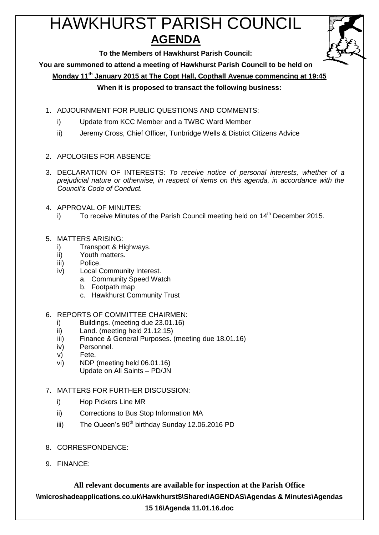# HAWKHURST PARISH COUNCIL **AGENDA**



**To the Members of Hawkhurst Parish Council:**

**You are summoned to attend a meeting of Hawkhurst Parish Council to be held on**

**Monday 11th January 2015 at The Copt Hall, Copthall Avenue commencing at 19:45**

## **When it is proposed to transact the following business:**

- 1. ADJOURNMENT FOR PUBLIC QUESTIONS AND COMMENTS:
	- i) Update from KCC Member and a TWBC Ward Member
	- ii) Jeremy Cross, Chief Officer, Tunbridge Wells & District Citizens Advice
- 2. APOLOGIES FOR ABSENCE:
- 3. DECLARATION OF INTERESTS: *To receive notice of personal interests, whether of a prejudicial nature or otherwise, in respect of items on this agenda, in accordance with the Council's Code of Conduct.*
- 4. APPROVAL OF MINUTES:
	- i) To receive Minutes of the Parish Council meeting held on  $14<sup>th</sup>$  December 2015.
- 5. MATTERS ARISING:
	- i) Transport & Highways.
	- ii) Youth matters.
	- iii) Police.
	- iv) Local Community Interest.
		- a. Community Speed Watch
		- b. Footpath map
		- c. Hawkhurst Community Trust
- 6. REPORTS OF COMMITTEE CHAIRMEN:
	- i) Buildings. (meeting due 23.01.16)
	- ii) Land. (meeting held 21.12.15)
	- iii) Finance & General Purposes. (meeting due 18.01.16)
	- iv) Personnel.
	- v) Fete.
	- vi) NDP (meeting held 06.01.16)
		- Update on All Saints PD/JN
- 7. MATTERS FOR FURTHER DISCUSSION:
	- i) Hop Pickers Line MR
	- ii) Corrections to Bus Stop Information MA
	- iii) The Queen's  $90<sup>th</sup>$  birthday Sunday 12.06.2016 PD
- 8. CORRESPONDENCE:
- 9. FINANCE:

**All relevant documents are available for inspection at the Parish Office \\microshadeapplications.co.uk\Hawkhurst\$\Shared\AGENDAS\Agendas & Minutes\Agendas 15 16\Agenda 11.01.16.doc**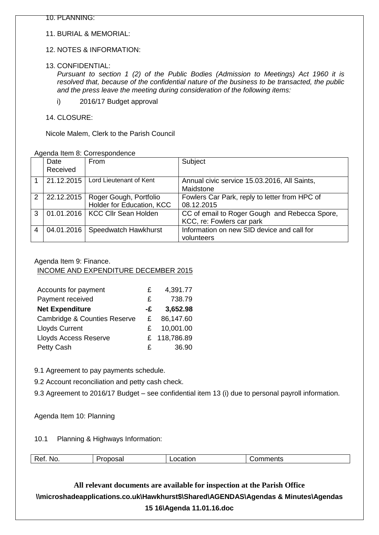11. BURIAL & MEMORIAL:

#### 12. NOTES & INFORMATION:

13. CONFIDENTIAL:

*Pursuant to section 1 (2) of the Public Bodies (Admission to Meetings) Act 1960 it is resolved that, because of the confidential nature of the business to be transacted, the public and the press leave the meeting during consideration of the following items:*

- i) 2016/17 Budget approval
- 14. CLOSURE:

Nicole Malem, Clerk to the Parish Council

| Agenda Item 8: Correspondence |  |  |  |  |  |
|-------------------------------|--|--|--|--|--|
|-------------------------------|--|--|--|--|--|

|   | Date<br>Received | From                                                             | Subject                                                                    |
|---|------------------|------------------------------------------------------------------|----------------------------------------------------------------------------|
|   | 21.12.2015       | Lord Lieutenant of Kent                                          | Annual civic service 15.03.2016, All Saints,<br>Maidstone                  |
| 2 |                  | 22.12.2015   Roger Gough, Portfolio<br>Holder for Education, KCC | Fowlers Car Park, reply to letter from HPC of<br>08.12.2015                |
| 3 |                  | 01.01.2016   KCC Cllr Sean Holden                                | CC of email to Roger Gough and Rebecca Spore,<br>KCC, re: Fowlers car park |
| 4 | 04.01.2016       | Speedwatch Hawkhurst                                             | Information on new SID device and call for<br>volunteers                   |

#### Agenda Item 9: Finance.

## INCOME AND EXPENDITURE DECEMBER 2015

| Accounts for payment                    | £  | 4,391.77     |
|-----------------------------------------|----|--------------|
| Payment received                        | £  | 738.79       |
| <b>Net Expenditure</b>                  | -£ | 3,652.98     |
| <b>Cambridge &amp; Counties Reserve</b> | £  | 86,147.60    |
| <b>Lloyds Current</b>                   | £  | 10,001.00    |
| <b>Lloyds Access Reserve</b>            |    | £ 118,786.89 |
| Petty Cash                              | £  | 36.90        |

9.1 Agreement to pay payments schedule.

9.2 Account reconciliation and petty cash check.

9.3 Agreement to 2016/17 Budget – see confidential item 13 (i) due to personal payroll information.

Agenda Item 10: Planning

#### 10.1 Planning & Highways Information:

| N0<br>$\sim$<br>.<br>$\qquad \qquad \blacksquare \qquad \blacksquare \qquad \blacksquare \qquad \blacksquare \qquad \blacksquare \qquad \blacksquare$<br>___ |
|--------------------------------------------------------------------------------------------------------------------------------------------------------------|
|--------------------------------------------------------------------------------------------------------------------------------------------------------------|

## **All relevant documents are available for inspection at the Parish Office \\microshadeapplications.co.uk\Hawkhurst\$\Shared\AGENDAS\Agendas & Minutes\Agendas 15 16\Agenda 11.01.16.doc**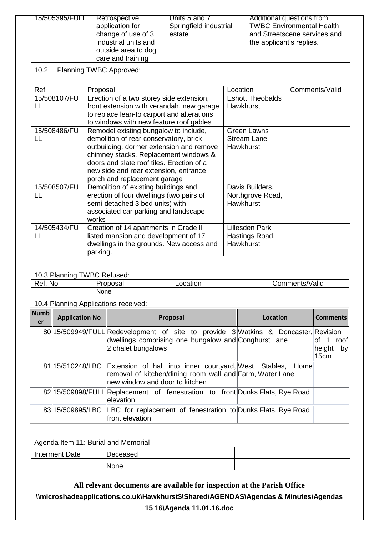| 15/505395/FULL | Retrospective        | Units 5 and 7          | Additional questions from        |
|----------------|----------------------|------------------------|----------------------------------|
|                | application for      | Springfield industrial | <b>TWBC Environmental Health</b> |
|                | change of use of 3   | estate                 | and Streetscene services and     |
|                | industrial units and |                        | the applicant's replies.         |
|                | outside area to dog  |                        |                                  |
|                | care and training    |                        |                                  |

10.2 Planning TWBC Approved:

| Ref                | Proposal                                                                                                                                                                                                                                                                                   | Location                                                | Comments/Valid |
|--------------------|--------------------------------------------------------------------------------------------------------------------------------------------------------------------------------------------------------------------------------------------------------------------------------------------|---------------------------------------------------------|----------------|
| 15/508107/FU<br>LL | Erection of a two storey side extension,<br>front extension with verandah, new garage<br>to replace lean-to carport and alterations<br>to windows with new feature roof gables                                                                                                             | <b>Eshott Theobalds</b><br><b>Hawkhurst</b>             |                |
| 15/508486/FU<br>H. | Remodel existing bungalow to include,<br>demolition of rear conservatory, brick<br>outbuilding, dormer extension and remove<br>chimney stacks. Replacement windows &<br>doors and slate roof tiles. Erection of a<br>new side and rear extension, entrance<br>porch and replacement garage | <b>Green Lawns</b><br><b>Stream Lane</b><br>Hawkhurst   |                |
| 15/508507/FU<br>H  | Demolition of existing buildings and<br>erection of four dwellings (two pairs of<br>semi-detached 3 bed units) with<br>associated car parking and landscape<br>works                                                                                                                       | Davis Builders,<br>Northgrove Road,<br><b>Hawkhurst</b> |                |
| 14/505434/FU<br>LL | Creation of 14 apartments in Grade II<br>listed mansion and development of 17<br>dwellings in the grounds. New access and<br>parking.                                                                                                                                                      | Lillesden Park,<br>Hastings Road,<br><b>Hawkhurst</b>   |                |

## 10.3 Planning TWBC Refused:

| $R_{P1}$<br>NO.<br>w. | -<br>Proposal       | $- - - - -$<br>Location | .<br>mments/Valid<br>Jor<br>™ments <sub>≀</sub> |
|-----------------------|---------------------|-------------------------|-------------------------------------------------|
|                       | <b>None</b><br>____ |                         |                                                 |

### 10.4 Planning Applications received:

| <b>Numb</b><br>er | <b>Application No</b> | Proposal                                                                                                                                                                  | Location | <b>Comments</b>                            |
|-------------------|-----------------------|---------------------------------------------------------------------------------------------------------------------------------------------------------------------------|----------|--------------------------------------------|
|                   |                       | 80 15/509949/FULL Redevelopment of site to provide 3 Watkins & Doncaster, Revision<br>dwellings comprising one bungalow and Conghurst Lane<br>2 chalet bungalows          |          | $\int$ 1<br>roof<br>height<br>  by<br>15cm |
|                   |                       | 81 15/510248/LBC Extension of hall into inner courtyard, West Stables, Home<br>removal of kitchen/dining room wall and Farm, Water Lane<br>new window and door to kitchen |          |                                            |
|                   |                       | 82 15/509898/FULL Replacement of fenestration to front Dunks Flats, Rye Road<br>lelevation                                                                                |          |                                            |
|                   |                       | 83 15/509895/LBC LBC for replacement of fenestration to Dunks Flats, Rye Road<br>front elevation                                                                          |          |                                            |

## Agenda Item 11: Burial and Memorial

| Interment Date | Deceased |  |
|----------------|----------|--|
|                | None     |  |

**All relevant documents are available for inspection at the Parish Office \\microshadeapplications.co.uk\Hawkhurst\$\Shared\AGENDAS\Agendas & Minutes\Agendas** 

## **15 16\Agenda 11.01.16.doc**